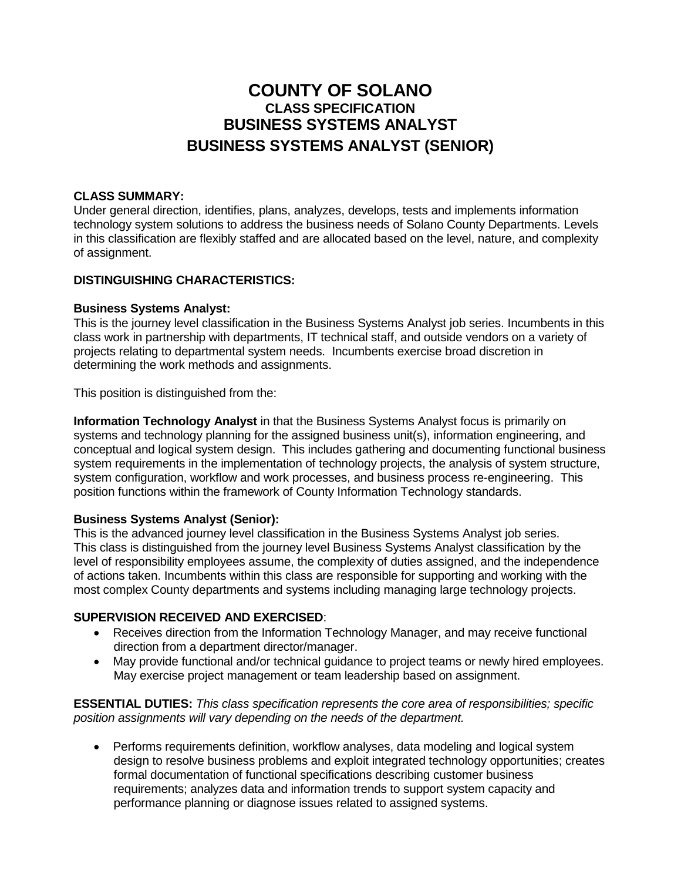# **COUNTY OF SOLANO CLASS SPECIFICATION BUSINESS SYSTEMS ANALYST BUSINESS SYSTEMS ANALYST (SENIOR)**

#### **CLASS SUMMARY:**

Under general direction, identifies, plans, analyzes, develops, tests and implements information technology system solutions to address the business needs of Solano County Departments. Levels in this classification are flexibly staffed and are allocated based on the level, nature, and complexity of assignment.

## **DISTINGUISHING CHARACTERISTICS:**

#### **Business Systems Analyst:**

This is the journey level classification in the Business Systems Analyst job series. Incumbents in this class work in partnership with departments, IT technical staff, and outside vendors on a variety of projects relating to departmental system needs. Incumbents exercise broad discretion in determining the work methods and assignments.

This position is distinguished from the:

**Information Technology Analyst** in that the Business Systems Analyst focus is primarily on systems and technology planning for the assigned business unit(s), information engineering, and conceptual and logical system design. This includes gathering and documenting functional business system requirements in the implementation of technology projects, the analysis of system structure, system configuration, workflow and work processes, and business process re-engineering. This position functions within the framework of County Information Technology standards.

#### **Business Systems Analyst (Senior):**

This is the advanced journey level classification in the Business Systems Analyst job series. This class is distinguished from the journey level Business Systems Analyst classification by the level of responsibility employees assume, the complexity of duties assigned, and the independence of actions taken. Incumbents within this class are responsible for supporting and working with the most complex County departments and systems including managing large technology projects.

#### **SUPERVISION RECEIVED AND EXERCISED**:

- Receives direction from the Information Technology Manager, and may receive functional direction from a department director/manager.
- May provide functional and/or technical guidance to project teams or newly hired employees. May exercise project management or team leadership based on assignment.

**ESSENTIAL DUTIES:** *This class specification represents the core area of responsibilities; specific position assignments will vary depending on the needs of the department.*

 Performs requirements definition, workflow analyses, data modeling and logical system design to resolve business problems and exploit integrated technology opportunities; creates formal documentation of functional specifications describing customer business requirements; analyzes data and information trends to support system capacity and performance planning or diagnose issues related to assigned systems.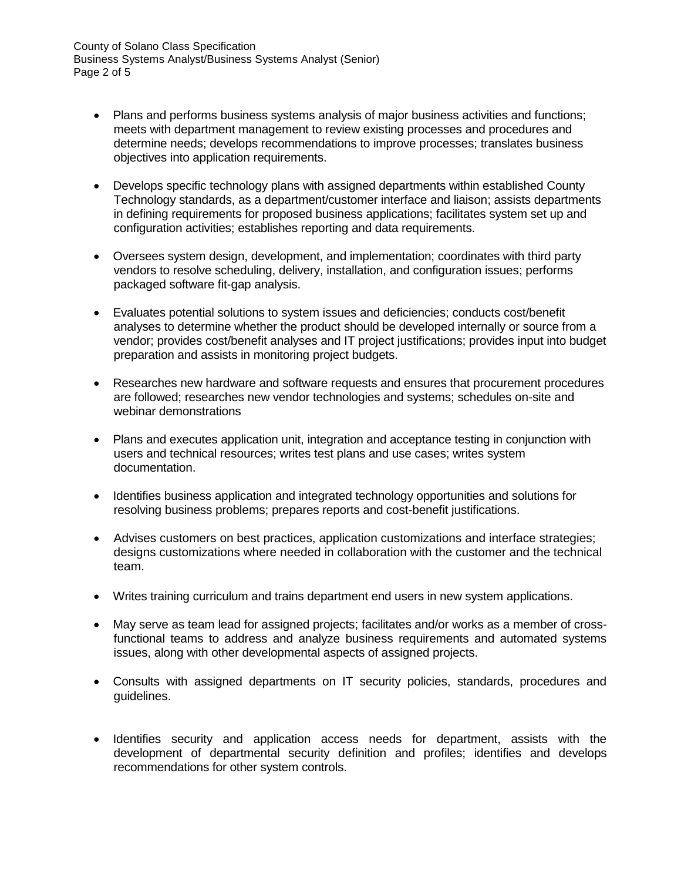- Plans and performs business systems analysis of major business activities and functions; meets with department management to review existing processes and procedures and determine needs; develops recommendations to improve processes; translates business objectives into application requirements.
- Develops specific technology plans with assigned departments within established County Technology standards, as a department/customer interface and liaison; assists departments in defining requirements for proposed business applications; facilitates system set up and configuration activities; establishes reporting and data requirements.
- Oversees system design, development, and implementation; coordinates with third party vendors to resolve scheduling, delivery, installation, and configuration issues; performs packaged software fit-gap analysis.
- Evaluates potential solutions to system issues and deficiencies; conducts cost/benefit analyses to determine whether the product should be developed internally or source from a vendor; provides cost/benefit analyses and IT project justifications; provides input into budget preparation and assists in monitoring project budgets.
- Researches new hardware and software requests and ensures that procurement procedures are followed; researches new vendor technologies and systems; schedules on-site and webinar demonstrations
- Plans and executes application unit, integration and acceptance testing in conjunction with users and technical resources; writes test plans and use cases; writes system documentation.
- Identifies business application and integrated technology opportunities and solutions for resolving business problems; prepares reports and cost-benefit justifications.
- Advises customers on best practices, application customizations and interface strategies; designs customizations where needed in collaboration with the customer and the technical team.
- Writes training curriculum and trains department end users in new system applications.
- May serve as team lead for assigned projects; facilitates and/or works as a member of crossfunctional teams to address and analyze business requirements and automated systems issues, along with other developmental aspects of assigned projects.
- Consults with assigned departments on IT security policies, standards, procedures and guidelines.
- Identifies security and application access needs for department, assists with the development of departmental security definition and profiles; identifies and develops recommendations for other system controls.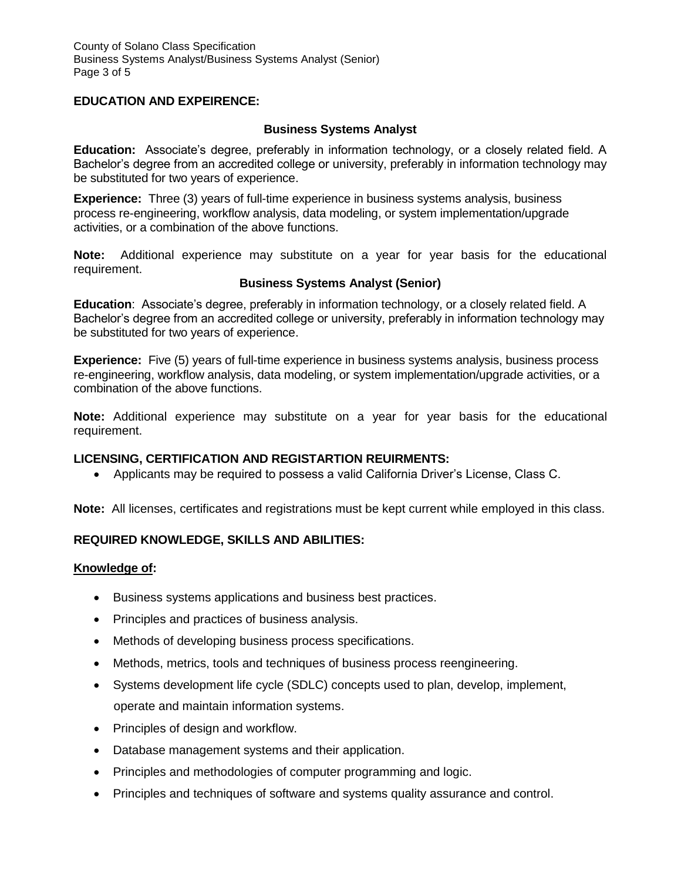## **EDUCATION AND EXPEIRENCE:**

### **Business Systems Analyst**

**Education:** Associate's degree, preferably in information technology, or a closely related field. A Bachelor's degree from an accredited college or university, preferably in information technology may be substituted for two years of experience.

**Experience:** Three (3) years of full-time experience in business systems analysis, business process re-engineering, workflow analysis, data modeling, or system implementation/upgrade activities, or a combination of the above functions.

**Note:** Additional experience may substitute on a year for year basis for the educational requirement.

#### **Business Systems Analyst (Senior)**

**Education**: Associate's degree, preferably in information technology, or a closely related field. A Bachelor's degree from an accredited college or university, preferably in information technology may be substituted for two years of experience.

**Experience:** Five (5) years of full-time experience in business systems analysis, business process re-engineering, workflow analysis, data modeling, or system implementation/upgrade activities, or a combination of the above functions.

**Note:** Additional experience may substitute on a year for year basis for the educational requirement.

## **LICENSING, CERTIFICATION AND REGISTARTION REUIRMENTS:**

Applicants may be required to possess a valid California Driver's License, Class C.

**Note:** All licenses, certificates and registrations must be kept current while employed in this class.

## **REQUIRED KNOWLEDGE, SKILLS AND ABILITIES:**

#### **Knowledge of:**

- Business systems applications and business best practices.
- Principles and practices of business analysis.
- Methods of developing business process specifications.
- Methods, metrics, tools and techniques of business process reengineering.
- Systems development life cycle (SDLC) concepts used to plan, develop, implement, operate and maintain information systems.
- Principles of design and workflow.
- Database management systems and their application.
- Principles and methodologies of computer programming and logic.
- Principles and techniques of software and systems quality assurance and control.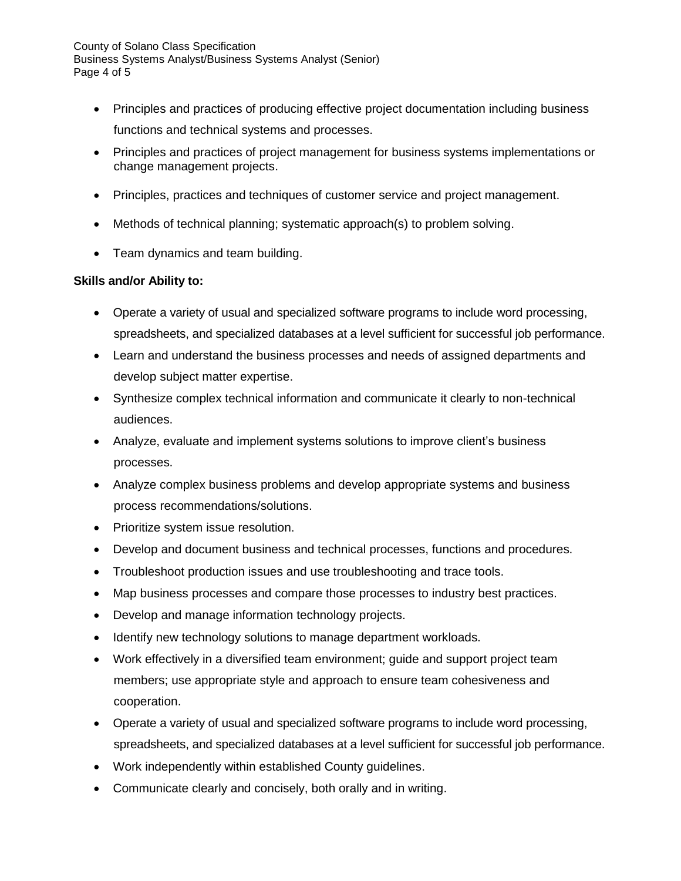County of Solano Class Specification Business Systems Analyst/Business Systems Analyst (Senior) Page 4 of 5

- Principles and practices of producing effective project documentation including business functions and technical systems and processes.
- Principles and practices of project management for business systems implementations or change management projects.
- Principles, practices and techniques of customer service and project management.
- Methods of technical planning; systematic approach(s) to problem solving.
- Team dynamics and team building.

# **Skills and/or Ability to:**

- Operate a variety of usual and specialized software programs to include word processing, spreadsheets, and specialized databases at a level sufficient for successful job performance.
- Learn and understand the business processes and needs of assigned departments and develop subject matter expertise.
- Synthesize complex technical information and communicate it clearly to non-technical audiences.
- Analyze, evaluate and implement systems solutions to improve client's business processes.
- Analyze complex business problems and develop appropriate systems and business process recommendations/solutions.
- Prioritize system issue resolution.
- Develop and document business and technical processes, functions and procedures.
- Troubleshoot production issues and use troubleshooting and trace tools.
- Map business processes and compare those processes to industry best practices.
- Develop and manage information technology projects.
- Identify new technology solutions to manage department workloads.
- Work effectively in a diversified team environment; guide and support project team members; use appropriate style and approach to ensure team cohesiveness and cooperation.
- Operate a variety of usual and specialized software programs to include word processing, spreadsheets, and specialized databases at a level sufficient for successful job performance.
- Work independently within established County guidelines.
- Communicate clearly and concisely, both orally and in writing.